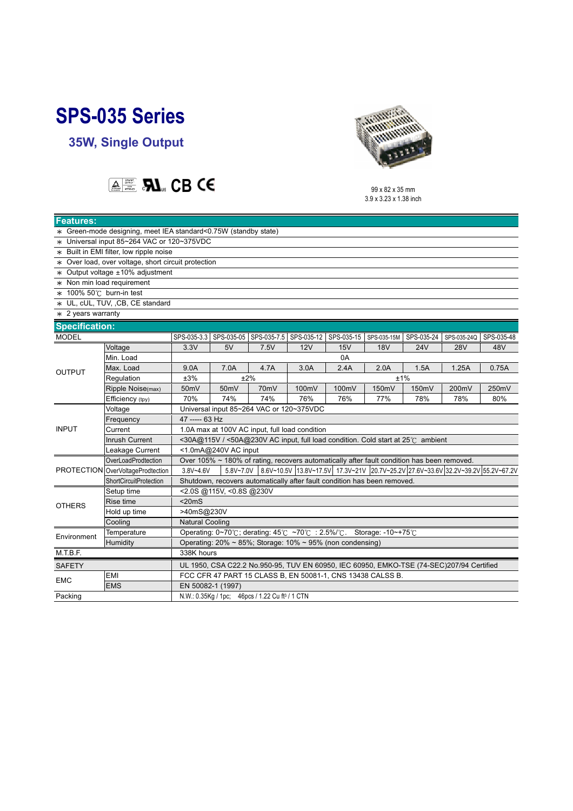## **SPS-035 Series**

**35W, Single Output** 





99 x 82 x 35 mm<br>3.9 x 3.23 x 1.38 inch

| <b>Features:</b>                                                |                                   |                                                                                                             |                                                                          |                                                                  |       |       |             |            |             |            |
|-----------------------------------------------------------------|-----------------------------------|-------------------------------------------------------------------------------------------------------------|--------------------------------------------------------------------------|------------------------------------------------------------------|-------|-------|-------------|------------|-------------|------------|
| * Green-mode designing, meet IEA standard<0.75W (standby state) |                                   |                                                                                                             |                                                                          |                                                                  |       |       |             |            |             |            |
| * Universal input 85~264 VAC or 120~375VDC                      |                                   |                                                                                                             |                                                                          |                                                                  |       |       |             |            |             |            |
| * Built in EMI filter, low ripple noise                         |                                   |                                                                                                             |                                                                          |                                                                  |       |       |             |            |             |            |
| * Over load, over voltage, short circuit protection             |                                   |                                                                                                             |                                                                          |                                                                  |       |       |             |            |             |            |
| * Output voltage ±10% adjustment                                |                                   |                                                                                                             |                                                                          |                                                                  |       |       |             |            |             |            |
| * Non min load requirement                                      |                                   |                                                                                                             |                                                                          |                                                                  |       |       |             |            |             |            |
| $*$ 100% 50°C burn-in test                                      |                                   |                                                                                                             |                                                                          |                                                                  |       |       |             |            |             |            |
| * UL, cUL, TUV, ,CB, CE standard                                |                                   |                                                                                                             |                                                                          |                                                                  |       |       |             |            |             |            |
| $*$ 2 years warranty                                            |                                   |                                                                                                             |                                                                          |                                                                  |       |       |             |            |             |            |
| <b>Specification:</b>                                           |                                   |                                                                                                             |                                                                          |                                                                  |       |       |             |            |             |            |
| <b>MODEL</b>                                                    |                                   |                                                                                                             |                                                                          | SPS-035-3.3   SPS-035-05   SPS-035-7.5   SPS-035-12   SPS-035-15 |       |       | SPS-035-15M | SPS-035-24 | SPS-035-24Q | SPS-035-48 |
| <b>OUTPUT</b>                                                   | Voltage                           | 3.3V                                                                                                        | 5V                                                                       | 7.5V                                                             | 12V   | 15V   | <b>18V</b>  | 24V        | <b>28V</b>  | 48V        |
|                                                                 | Min. Load                         |                                                                                                             | 0A                                                                       |                                                                  |       |       |             |            |             |            |
|                                                                 | Max. Load                         | 9.0A                                                                                                        | 7.0A                                                                     | 4.7A                                                             | 3.0A  | 2.4A  | 2.0A        | 1.5A       | 1.25A       | 0.75A      |
|                                                                 | Regulation                        | ±3%                                                                                                         |                                                                          | ±2%                                                              |       |       |             | ±1%        |             |            |
|                                                                 | Ripple Noise(max)                 | 50 <sub>m</sub> V                                                                                           | 50mV                                                                     | 70 <sub>m</sub> V                                                | 100mV | 100mV | 150mV       | 150mV      | 200mV       | 250mV      |
|                                                                 | Efficiency (tpy)                  | 70%                                                                                                         | 74%                                                                      | 74%                                                              | 76%   | 76%   | 77%         | 78%        | 78%         | 80%        |
| <b>INPUT</b>                                                    | Voltage                           | Universal input 85~264 VAC or 120~375VDC                                                                    |                                                                          |                                                                  |       |       |             |            |             |            |
|                                                                 | Frequency                         | 47 ----- 63 Hz                                                                                              |                                                                          |                                                                  |       |       |             |            |             |            |
|                                                                 | Current                           | 1.0A max at 100V AC input, full load condition                                                              |                                                                          |                                                                  |       |       |             |            |             |            |
|                                                                 | Inrush Current                    | <30A@115V / <50A@230V AC input, full load condition. Cold start at 25℃ ambient                              |                                                                          |                                                                  |       |       |             |            |             |            |
|                                                                 | Leakage Current                   |                                                                                                             | <1.0mA@240V AC input                                                     |                                                                  |       |       |             |            |             |            |
|                                                                 | OverLoadProdtection               | Over 105% ~ 180% of rating, recovers automatically after fault condition has been removed.                  |                                                                          |                                                                  |       |       |             |            |             |            |
|                                                                 | PROTECTION OverVoltageProdtection | 5.8V~7.0V 8.6V~10.5V 13.8V~17.5V 17.3V~21V 20.7V~25.2V 27.6V~33.6V 32.2V~39.2V 55.2V~67.2V<br>$3.8V - 4.6V$ |                                                                          |                                                                  |       |       |             |            |             |            |
|                                                                 | ShortCircuitProtection            |                                                                                                             | Shutdown, recovers automatically after fault condition has been removed. |                                                                  |       |       |             |            |             |            |
| <b>OTHERS</b>                                                   | Setup time                        | <2.0S @115V, <0.8S @230V                                                                                    |                                                                          |                                                                  |       |       |             |            |             |            |
|                                                                 | Rise time                         | $<$ 20 $m$ S                                                                                                |                                                                          |                                                                  |       |       |             |            |             |            |
|                                                                 | Hold up time                      | >40mS@230V                                                                                                  |                                                                          |                                                                  |       |       |             |            |             |            |
|                                                                 | Cooling                           | <b>Natural Cooling</b>                                                                                      |                                                                          |                                                                  |       |       |             |            |             |            |
| Environment                                                     | Temperature                       | Operating: 0~70℃; derating: 45℃ ~70℃ : 2.5%/℃. Storage: -10~+75℃                                            |                                                                          |                                                                  |       |       |             |            |             |            |
|                                                                 | Humidity                          |                                                                                                             | Operating: $20\% \sim 85\%$ ; Storage: $10\% \sim 95\%$ (non condensing) |                                                                  |       |       |             |            |             |            |
| M.T.B.F.                                                        |                                   | 338K hours                                                                                                  |                                                                          |                                                                  |       |       |             |            |             |            |
| <b>SAFETY</b>                                                   |                                   | UL 1950, CSA C22.2 No.950-95, TUV EN 60950, IEC 60950, EMKO-TSE (74-SEC)207/94 Certified                    |                                                                          |                                                                  |       |       |             |            |             |            |
| <b>EMC</b>                                                      | EMI                               | FCC CFR 47 PART 15 CLASS B, EN 50081-1, CNS 13438 CALSS B.                                                  |                                                                          |                                                                  |       |       |             |            |             |            |
|                                                                 | <b>EMS</b>                        |                                                                                                             | EN 50082-1 (1997)                                                        |                                                                  |       |       |             |            |             |            |
| Packing                                                         |                                   |                                                                                                             |                                                                          | N.W.: 0.35Kg / 1pc; 46pcs / 1.22 Cu ft3 / 1 CTN                  |       |       |             |            |             |            |